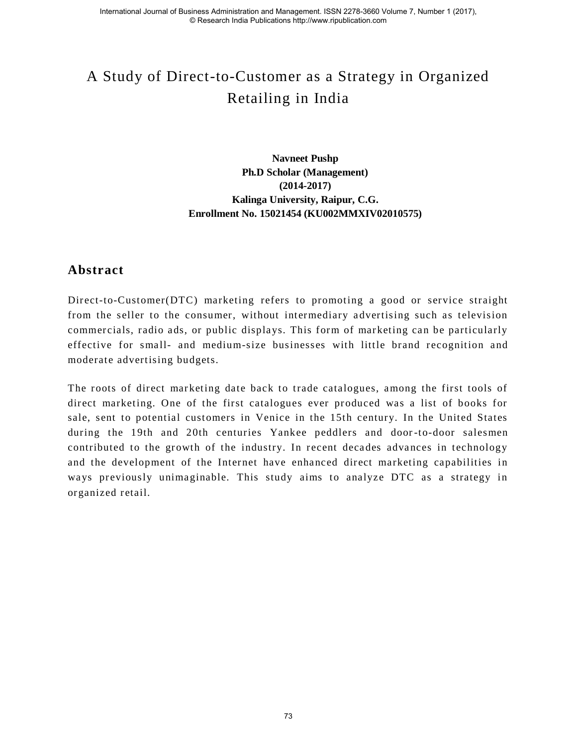# A Study of Direct-to-Customer as a Strategy in Organized Retailing in India

**Navneet Pushp Ph.D Scholar (Management) (2014-2017) Kalinga University, Raipur, C.G. Enrollment No. 15021454 (KU002MMXIV02010575)** 

### **Abstract**

Direct-to-Customer(DTC) marketing refers to promoting a good or service straight from the seller to the consumer, without intermediary advertising such as television commercials, radio ads, or public displays. This form of marketing can be particularly effective for small- and medium-size businesses with little brand recognition and moderate advertising budgets.

The roots of direct marketing date back to trade catalogues, among the first tools of direct marketing. One of the first catalogues ever produced was a list of books for sale, sent to potential customers in Venice in the 15th century. In the United States during the 19th and 20th centuries Yankee peddlers and door -to-door salesmen contributed to the growth of the industry. In recent decades advances in technology and the development of the Internet have enhanced direct marketing capabilities in ways previously unimaginable. This study aims to analyze DTC as a strategy in organized retail.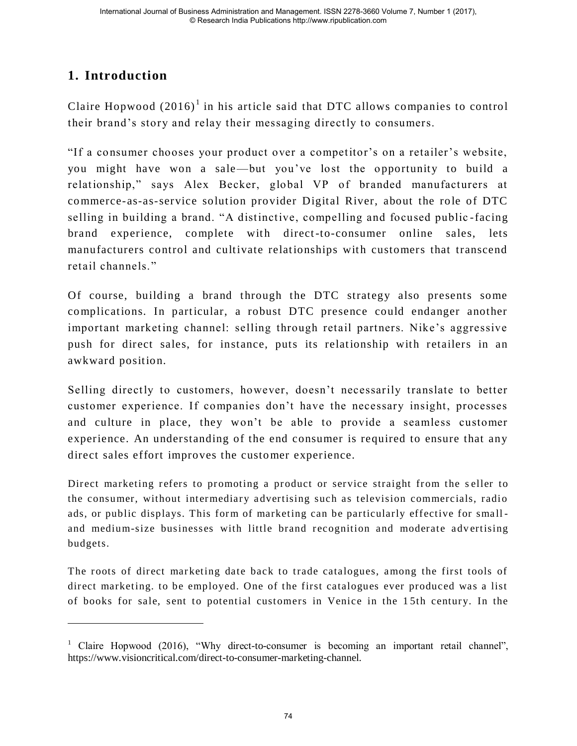# **1. Introduction**

 $\overline{a}$ 

Claire Hopwood  $(2016)^1$  in his article said that DTC allows companies to control their brand's story and relay their messaging directly to consumers.

―If a consumer chooses your product over a competitor's on a retailer's website, you might have won a sale—but you've lost the opportunity to build a relationship," says Alex Becker, global VP of branded manufacturers at commerce-as-as-service solution provider Digital River, about the role of DTC selling in building a brand. "A distinctive, compelling and focused public-facing brand experience, complete with direct -to-consumer online sales, lets manufacturers control and cultivate relationships with customers that transcend retail channels."

Of course, building a brand through the DTC strategy also presents some complications. In particular, a robust DTC presence could endanger another important marketing channel: selling through retail partners. Nike's aggressive push for direct sales, for instance, puts its relationship with retailers in an awkward position.

Selling directly to customers, however, doesn't necessarily translate to better customer experience. If companies don't have the necessary insight, processes and culture in place, they won't be able to provide a seamless customer experience. An understanding of the end consumer is required to ensure that any direct sales effort improves the customer experience.

Direct marketing refers to promoting a product or service straight from the s eller to the consumer, without intermediary advertising such as television commercials, radio ads, or public displays. This form of marketing can be particularly effective for small and medium-size businesses with little brand recognition and moderate advertising budgets.

The roots of direct marketing date back to trade catalogues, among the first tools of direct marketing. to be employed. One of the first catalogues ever produced was a list of books for sale, sent to potential customers in Venice in the 1 5th century. In the

<sup>&</sup>lt;sup>1</sup> Claire Hopwood (2016), "Why direct-to-consumer is becoming an important retail channel", https://www.visioncritical.com/direct-to-consumer-marketing-channel.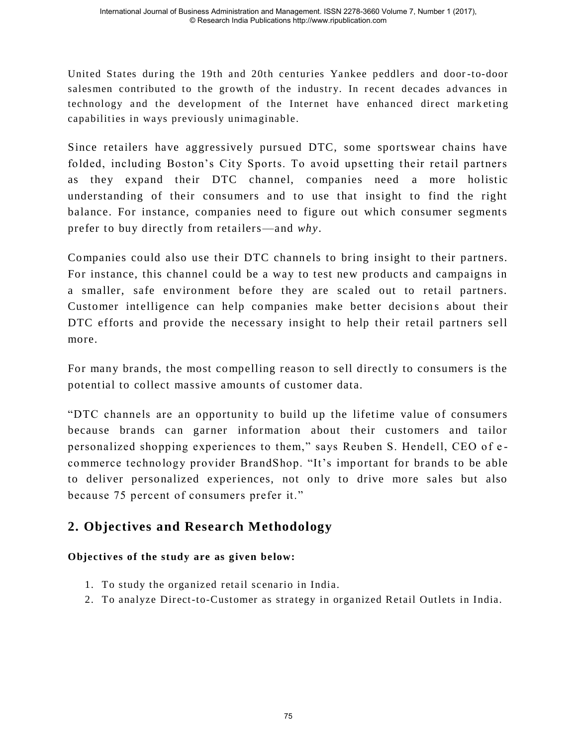United States during the 19th and 20th centuries Yankee peddlers and door -to-door salesmen contributed to the growth of the industry. In recent decades advances in technology and the development of the Internet have enhanced direct mark eting capabilities in ways previously unimaginable.

Since retailers have aggressively pursued DTC, some sportswear chains have folded, including Boston's City Sports. To avoid upsetting their retail partners as they expand their DTC channel, companies need a more holistic understanding of their consumers and to use that insight to find the right balance. For instance, companies need to figure out which consumer segments prefer to buy directly from retailers—and *why*.

Companies could also use their DTC channels to bring insight to their partners. For instance, this channel could be a way to test new products and campaigns in a smaller, safe environment before they are scaled out to retail partners. Customer intelligence can help companies make better decisions about their DTC efforts and provide the necessary insight to help their retail partners sell more.

For many brands, the most compelling reason to sell directly to consumers is the potential to collect massive amounts of customer data.

―DTC channels are an opportunity to build up the lifetime value of consumers because brands can garner information about their customers and tailor personalized shopping experiences to them," says Reuben S. Hendell, CEO of ecommerce technology provider BrandShop. "It's important for brands to be able to deliver personalized experiences, not only to drive more sales but also because 75 percent of consumers prefer it."

## **2. Objectives and Research Methodology**

#### **Objectives of the study are as given below:**

- 1. To study the organized retail scenario in India.
- 2. To analyze Direct-to-Customer as strategy in organized Retail Outlets in India.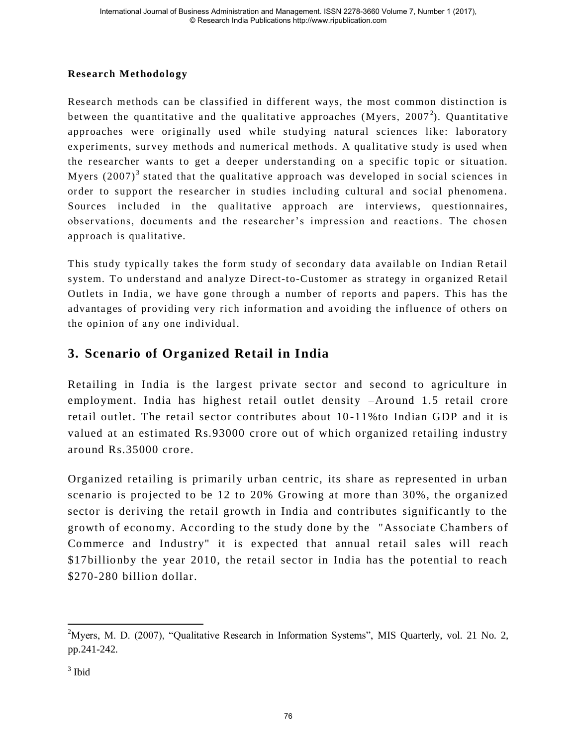#### **Research Methodology**

Research methods can be classified in different ways, the most common distinction is between the quantitative and the qualitative approaches (Myers, 2007<sup>2</sup>). Quantitative approaches were originally used while studying natural sciences like: laboratory experiments, survey methods and numerical methods. A qualitative study is used when the researcher wants to get a deeper understanding on a specific topic or situation. Myers  $(2007)^3$  stated that the qualitative approach was developed in social sciences in order to support the researcher in studies including cultural and social phenomena. Sources included in the qualitative approach are interviews, questionnaires, observations, documents and the researcher's impression and reactions. The chosen approach is qualitative.

This study typically takes the form study of secondary data available on Indian Retail system. To understand and analyze Direct-to-Customer as strategy in organized Retail Outlets in India, we have gone through a number of reports and papers. This has the advantages of providing very rich information and avoiding the influence of others on the opinion of any one individual.

## **3. Scenario of Organized Retail in India**

Retailing in India is the largest private sector and second to agriculture in employment. India has highest retail outlet density –Around 1.5 retail crore retail outlet. The retail sector contributes about 10 -11%to Indian GDP and it is valued at an estimated Rs.93000 crore out of which organized retailing industry around Rs.35000 crore.

Organized retailing is primarily urban centric, its share as represented in urban scenario is projected to be 12 to 20% Growing at more than 30%, the organized sector is deriving the retail growth in India and contributes significantly to the growth of economy. According to the study done by the "Associate Chambers of Commerce and Industry" it is expected that annual retail sales will reach \$17billionby the year 2010, the retail sector in India has the potential to reach \$270-280 billion dollar.

 $\overline{a}$ <sup>2</sup>Myers, M. D. (2007), "Qualitative Research in Information Systems", MIS Quarterly, vol. 21 No. 2, pp.241-242.

 $3$  Ibid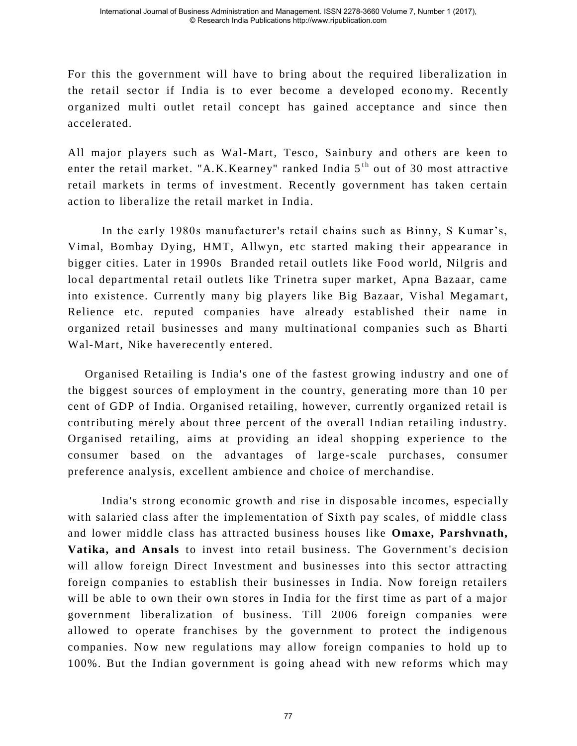For this the government will have to bring about the required liberalization in the retail sector if India is to ever become a developed econo my. Recently organized multi outlet retail concept has gained acceptance and since then accelerated.

All major players such as Wal-Mart, Tesco, Sainbury and others are keen to enter the retail market. "A.K.Kearney" ranked India  $5<sup>th</sup>$  out of 30 most attractive retail markets in terms of investment. Recently government has taken certain action to liberalize the retail market in India.

In the early 1980s manufacturer's retail chains such as Binny, S Kumar's, Vimal, Bombay Dying, HMT, Allwyn, etc started making their appearance in bigger cities. Later in 1990s Branded retail outlets like Food world, Nilgris and local departmental retail outlets like Trinetra super market, Apna Bazaar, came into existence. Currently many big players like Big Bazaar, Vishal Megamart, Relience etc. reputed companies have already established their name in organized retail businesses and many multinational companies such as Bharti Wal-Mart, Nike haverecently entered.

Organised Retailing is India's one of the fastest growing industry and one of the biggest sources of employment in the country, generating more than 10 per cent of GDP of India. Organised retailing, however, currently organized retail is contributing merely about three percent of the overall Indian retailing industry. Organised retailing, aims at providing an ideal shopping experience to the consumer based on the advantages of large -scale purchases, consumer preference analysis, excellent ambience and choice of merchandise.

India's strong economic growth and rise in disposable incomes, especially with salaried class after the implementation of Sixth pay scales, of middle class and lower middle class has attracted business houses like **Omaxe, Parshvnath, Vatika, and Ansals** to invest into retail business. The Government's decision will allow foreign Direct Investment and businesses into this sector attracting foreign companies to establish their businesses in India. Now foreign retailers will be able to own their own stores in India for the first time as part of a major government liberalization of business. Till 2006 foreign companies were allowed to operate franchises by the government to protect the indigenous companies. Now new regulations may allow foreign companies to hold up to 100%. But the Indian government is going ahead with new reforms which may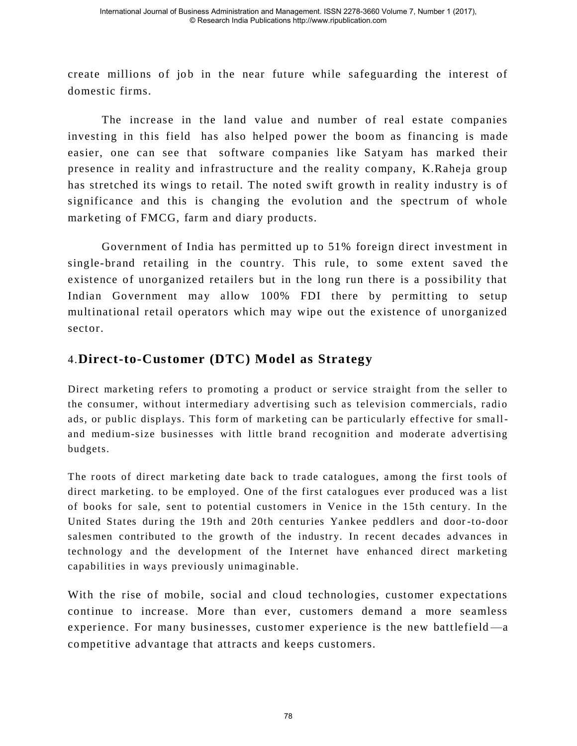create millions of job in the near future while safeguarding the interest of domestic firms.

The increase in the land value and number of real estate companies investing in this field has also helped power the boom as financing is made easier, one can see that software companies like Satyam has marked their presence in reality and infrastructure and the reality company, K.Raheja group has stretched its wings to retail. The noted swift growth in reality industry is of significance and this is changing the evolution and the spectrum of whole marketing of FMCG, farm and diary products.

 Government of India has permitted up to 51% foreign direct investment in single-brand retailing in the country. This rule, to some extent saved the existence of unorganized retailers but in the long run there is a possibility that Indian Government may allow 100% FDI there by permitting to setup multinational retail operators which may wipe out the existence of unorganized sector.

## 4.**Direct-to-Customer (DTC) Model as Strategy**

Direct marketing refers to promoting a product or service straight from the seller to the consumer, without intermediary advertising such as television commercials, radio ads, or public displays. This form of mark eting can be particularly effective for smalland medium-size businesses with little brand recognition and moderate advertising budgets.

The roots of direct marketing date back to trade catalogues, among the first tools of direct marketing. to be employed. One of the first catalogues ever produced was a list of books for sale, sent to potential customers in Venice in the 15th century. In the United States during the 19th and 20th centuries Yankee peddlers and door -to-door salesmen contributed to the growth of the industry. In recent decades advances in technology and the development of the Internet have enhanced direct marketing capabilities in ways previously unimaginable.

With the rise of mobile, social and cloud technologies, customer expectations continue to increase. More than ever, customers demand a more seamless experience. For many businesses, customer experience is the new battlefield —a competitive advantage that attracts and keeps customers.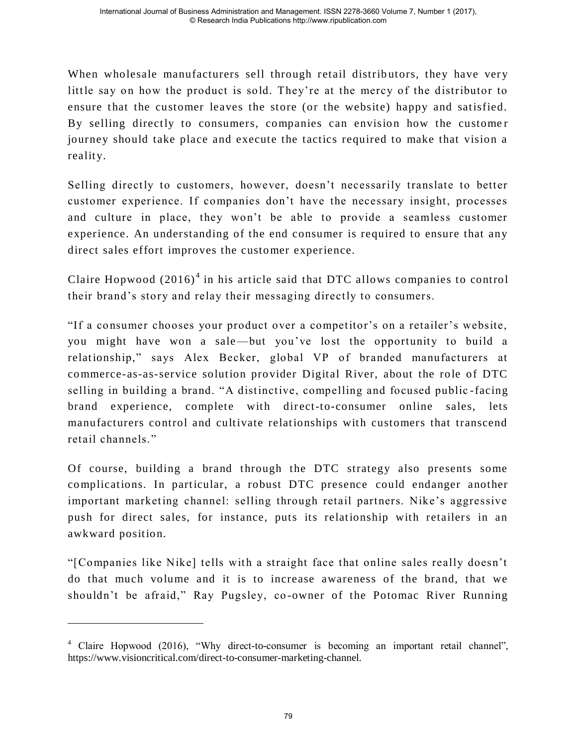When wholesale manufacturers sell through retail distributors, they have very little say on how the product is sold. They're at the mercy of the distributor to ensure that the customer leaves the store (or the website) happy and satisfied. By selling directly to consumers, companies can envision how the customer journey should take place and execute the tactics required to make that vision a reality.

Selling directly to customers, however, doesn't necessarily translate to better customer experience. If companies don't have the necessary insight, processes and culture in place, they won't be able to provide a seamless customer experience. An understanding of the end consumer is required to ensure that any direct sales effort improves the customer experience.

Claire Hopwood  $(2016)^4$  in his article said that DTC allows companies to control their brand's story and relay their messaging directly to consumers.

―If a consumer chooses your product over a competitor's on a retailer's website, you might have won a sale—but you've lost the opportunity to build a relationship," says Alex Becker, global VP of branded manufacturers at commerce-as-as-service solution provider Digital River, about the role of DTC selling in building a brand. "A distinctive, compelling and focused public-facing brand experience, complete with direct-to-consumer online sales, lets manufacturers control and cultivate relationships with customers that transcend retail channels."

Of course, building a brand through the DTC strategy also presents some complications. In particular, a robust DTC presence could endanger another important marketing channel: selling through retail partners. Nike's aggressive push for direct sales, for instance, puts its relationship with retailers in an awkward position.

―[Companies like Nike] tells with a straight face that online sales really doesn't do that much volume and it is to increase awareness of the brand, that we shouldn't be afraid," Ray Pugsley, co-owner of the Potomac River Running

 $\overline{a}$ 

 $4$  Claire Hopwood (2016), "Why direct-to-consumer is becoming an important retail channel", https://www.visioncritical.com/direct-to-consumer-marketing-channel.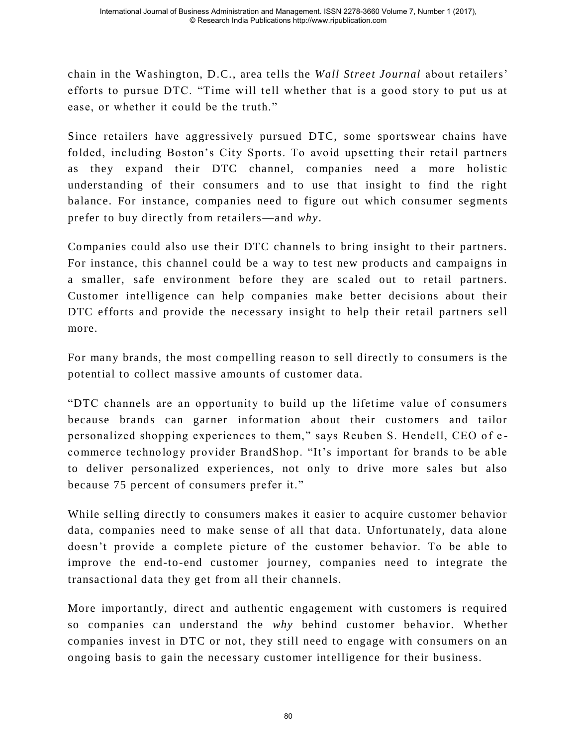chain in the Washington, D.C., area tells the *Wall Street Journal* about retailers' efforts to pursue DTC. "Time will tell whether that is a good story to put us at ease, or whether it could be the truth."

Since retailers have aggressively pursued DTC, some sportswear chains have folded, including Boston's City Sports. To avoid upsetting their retail partners as they expand their DTC channel, companies need a more holistic understanding of their consumers and to use that insight to find the right balance. For instance, companies need to figure out which consumer segments prefer to buy directly from retailers—and *why*.

Companies could also use their DTC channels to bring insight to their partners. For instance, this channel could be a way to test new products and campaigns in a smaller, safe environment before they are scaled out to retail partners. Customer intelligence can help companies make better decisions about their DTC efforts and provide the necessary insight to help their retail partners sell more.

For many brands, the most compelling reason to sell directly to consumers is the potential to collect massive amounts of customer data.

―DTC channels are an opportunity to build up the lifetime value of consumers because brands can garner information about their customers and tailor personalized shopping experiences to them," says Reuben S. Hendell, CEO of ecommerce technology provider BrandShop. "It's important for brands to be able to deliver personalized experiences, not only to drive more sales but also because 75 percent of consumers prefer it."

While selling directly to consumers makes it easier to acquire customer behavior data, companies need to make sense of all that data. Unfortunately, data alone doesn't provide a complete picture of the customer behavior. To be able to improve the end-to-end customer journey, companies need to integrate the transactional data they get from all their channels.

More importantly, direct and authentic engagement with customers is required so companies can understand the *why* behind customer behavior. Whether companies invest in DTC or not, they still need to engage with consumers on an ongoing basis to gain the necessary customer intelligence for their business.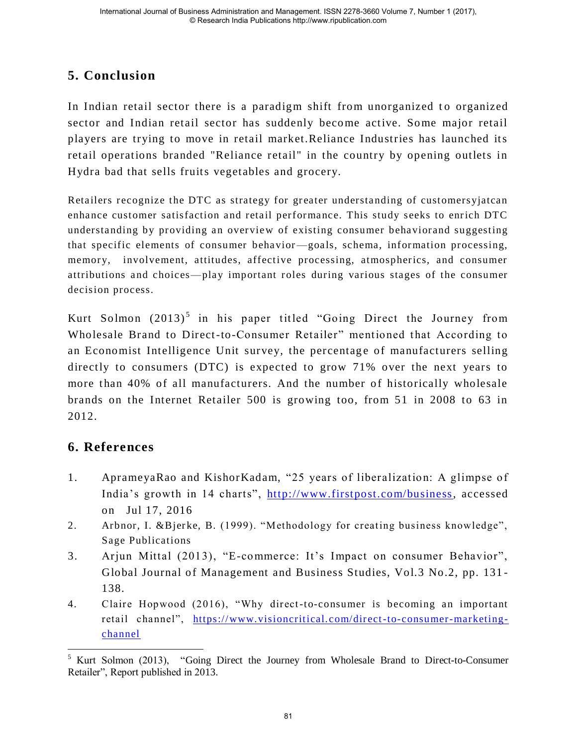# **5. Conclusion**

In Indian retail sector there is a paradigm shift from unorganized to organized sector and Indian retail sector has suddenly become active. Some major retail players are trying to move in retail market.Reliance Industries has launched its retail operations branded "Reliance retail" in the country by opening outlets in Hydra bad that sells fruits vegetables and grocery.

Retailers recognize the DTC as strategy for greater understanding of customersyjatcan enhance customer satisfaction and retail performance. This study seeks to enrich DTC understanding by providing an overview of existing consumer behaviorand suggesting that specific elements of consumer behavior —goals, schema, information processing, memory, involvement, attitudes, affective processing, atmospherics, and consumer attributions and choices—play important roles during various stages of the consumer decision process.

Kurt Solmon  $(2013)^5$  in his paper titled "Going Direct the Journey from Wholesale Brand to Direct-to-Consumer Retailer" mentioned that According to an Economist Intelligence Unit survey, the percentage of manufacturers selling directly to consumers (DTC) is expected to grow 71% over the next years to more than 40% of all manufacturers. And the number of historically wholesale brands on the Internet Retailer 500 is growing too, from 51 in 2008 to 63 in 2012.

# **6. References**

- 1. AprameyaRao and KishorKadam, "25 years of liberalization: A glimpse of India's growth in 14 charts", [http://www.firstpost.com/business,](http://www.firstpost.com/business) accessed on Jul 17, 2016
- 2. Arbnor, I. &Bjerke, B. (1999). "Methodology for creating business knowledge", Sage Publications
- 3. Arjun Mittal (2013), "E-commerce: It's Impact on consumer Behavior", Global Journal of Management and Business Studies, Vol.3 No.2, pp. 131 - 138.
- 4. Claire Hopwood (2016), "Why direct-to-consumer is becoming an important retail channel", https://www.visioncritical.com/direct-to-consumer-marketing[channel](https://www.visioncritical.com/direct-to-consumer-marketing-channel)

 $\overline{a}$  $5$  Kurt Solmon (2013), "Going Direct the Journey from Wholesale Brand to Direct-to-Consumer Retailer", Report published in 2013.